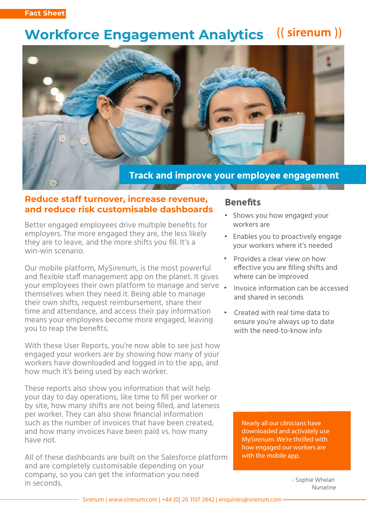#### ((sirenum)) **Workforce Engagement Analytics**



### **Reduce staff turnover, increase revenue, and reduce risk customisable dashboards**

Better engaged employees drive multiple benefits for employers. The more engaged they are, the less likely they are to leave, and the more shifts you fill. It's a win-win scenario.

Our mobile platform, MySirenum, is the most powerful and flexible staff management app on the planet. It gives your employees their own platform to manage and serve • themselves when they need it. Being able to manage their own shifts, request reimbursement, share their time and attendance, and access their pay information means your employees become more engaged, leaving you to reap the benefits.

With these User Reports, you're now able to see just how engaged your workers are by showing how many of your workers have downloaded and logged in to the app, and how much it's being used by each worker.

These reports also show you information that will help your day to day operations, like time to fill per worker or by site, how many shifts are not being filled, and lateness per worker. They can also show financial information such as the number of invoices that have been created, and how many invoices have been paid vs. how many have not.

All of these dashboards are built on the Salesforce platform and are completely customisable depending on your company, so you can get the information you need in seconds.

### **Benefits**

- Shows you how engaged your workers are
- Enables you to proactively engage your workers where it's needed
- Provides a clear view on how effective you are filling shifts and where can be improved •
- Invoice information can be accessed and shared in seconds
- Created with real time data to ensure you're always up to date with the need-to-know info

Nearly all our clinicians have downloaded and activately use MySirenum. We're thrilled with how engaged our workers are with the mobile app.

> - Sophie Whelan Nurseline